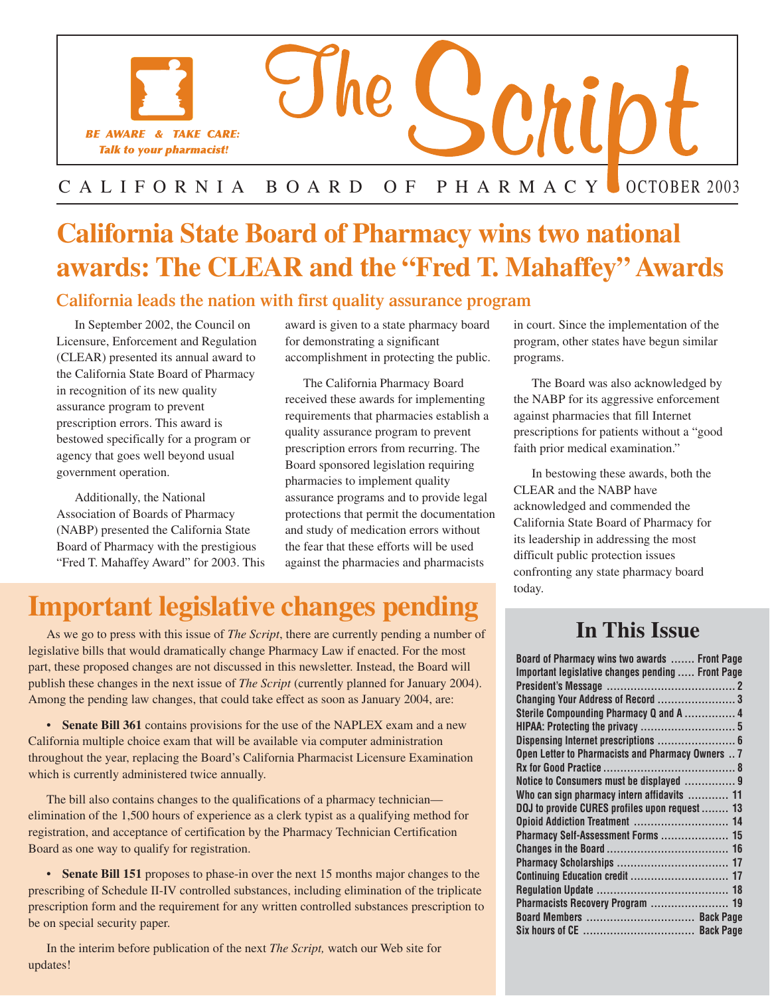

### CALIFORNIA BOARD OF PHARMACY OCTOBER 2003

# **California State Board of Pharmacy wins two national awards: The CLEAR and the "Fred T. Mahaffey" Awards**

#### **California leads the nation with first quality assurance program**

In September 2002, the Council on Licensure, Enforcement and Regulation (CLEAR) presented its annual award to the California State Board of Pharmacy in recognition of its new quality assurance program to prevent prescription errors. This award is bestowed specifically for a program or agency that goes well beyond usual government operation.

Additionally, the National Association of Boards of Pharmacy (NABP) presented the California State Board of Pharmacy with the prestigious "Fred T. Mahaffey Award" for 2003. This award is given to a state pharmacy board for demonstrating a significant accomplishment in protecting the public.

The California Pharmacy Board received these awards for implementing requirements that pharmacies establish a quality assurance program to prevent prescription errors from recurring. The Board sponsored legislation requiring pharmacies to implement quality assurance programs and to provide legal protections that permit the documentation and study of medication errors without the fear that these efforts will be used against the pharmacies and pharmacists

# **Important legislative changes pending**

As we go to press with this issue of *The Script*, there are currently pending a number of legislative bills that would dramatically change Pharmacy Law if enacted. For the most part, these proposed changes are not discussed in this newsletter. Instead, the Board will publish these changes in the next issue of *The Script* (currently planned for January 2004). Among the pending law changes, that could take effect as soon as January 2004, are:

• **Senate Bill 361** contains provisions for the use of the NAPLEX exam and a new California multiple choice exam that will be available via computer administration throughout the year, replacing the Board's California Pharmacist Licensure Examination which is currently administered twice annually.

The bill also contains changes to the qualifications of a pharmacy technician elimination of the 1,500 hours of experience as a clerk typist as a qualifying method for registration, and acceptance of certification by the Pharmacy Technician Certification Board as one way to qualify for registration.

• **Senate Bill 151** proposes to phase-in over the next 15 months major changes to the prescribing of Schedule II-IV controlled substances, including elimination of the triplicate prescription form and the requirement for any written controlled substances prescription to be on special security paper.

In the interim before publication of the next *The Script,* watch our Web site for updates!

in court. Since the implementation of the program, other states have begun similar programs.

The Board was also acknowledged by the NABP for its aggressive enforcement against pharmacies that fill Internet prescriptions for patients without a "good faith prior medical examination."

In bestowing these awards, both the CLEAR and the NABP have acknowledged and commended the California State Board of Pharmacy for its leadership in addressing the most difficult public protection issues confronting any state pharmacy board today.

### **In This Issue**

| Board of Pharmacy wins two awards  Front Page            |
|----------------------------------------------------------|
| <b>Important legislative changes pending  Front Page</b> |
|                                                          |
| Changing Your Address of Record  3                       |
| Sterile Compounding Pharmacy Q and A  4                  |
|                                                          |
|                                                          |
| Open Letter to Pharmacists and Pharmacy Owners  7        |
|                                                          |
| Notice to Consumers must be displayed  9                 |
| Who can sign pharmacy intern affidavits  11              |
| DOJ to provide CURES profiles upon request  13           |
| Opioid Addiction Treatment  14                           |
| Pharmacy Self-Assessment Forms  15                       |
|                                                          |
|                                                          |
| Continuing Education credit  17                          |
|                                                          |
| Pharmacists Recovery Program  19                         |
| Board Members  Back Page                                 |
|                                                          |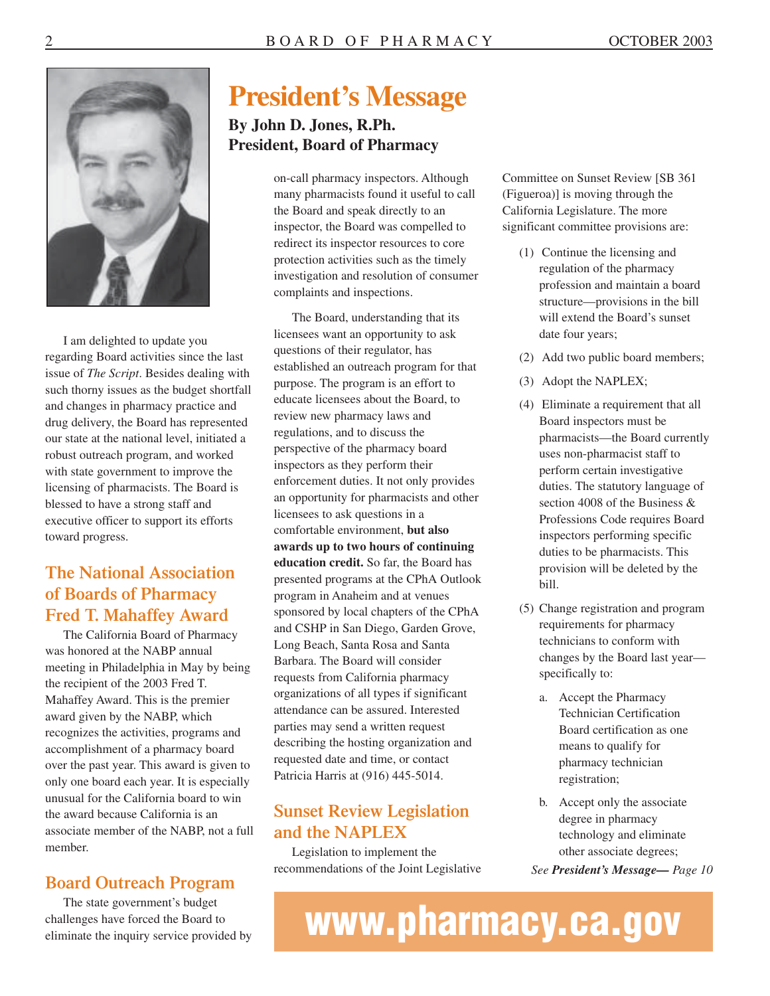

I am delighted to update you regarding Board activities since the last issue of *The Script*. Besides dealing with such thorny issues as the budget shortfall and changes in pharmacy practice and drug delivery, the Board has represented our state at the national level, initiated a robust outreach program, and worked with state government to improve the licensing of pharmacists. The Board is blessed to have a strong staff and executive officer to support its efforts toward progress.

### **The National Association of Boards of Pharmacy Fred T. Mahaffey Award**

The California Board of Pharmacy was honored at the NABP annual meeting in Philadelphia in May by being the recipient of the 2003 Fred T. Mahaffey Award. This is the premier award given by the NABP, which recognizes the activities, programs and accomplishment of a pharmacy board over the past year. This award is given to only one board each year. It is especially unusual for the California board to win the award because California is an associate member of the NABP, not a full member.

### **Board Outreach Program**

The state government's budget challenges have forced the Board to eliminate the inquiry service provided by

# **President's Message**

#### **By John D. Jones, R.Ph. President, Board of Pharmacy**

on-call pharmacy inspectors. Although many pharmacists found it useful to call the Board and speak directly to an inspector, the Board was compelled to redirect its inspector resources to core protection activities such as the timely investigation and resolution of consumer complaints and inspections.

The Board, understanding that its licensees want an opportunity to ask questions of their regulator, has established an outreach program for that purpose. The program is an effort to educate licensees about the Board, to review new pharmacy laws and regulations, and to discuss the perspective of the pharmacy board inspectors as they perform their enforcement duties. It not only provides an opportunity for pharmacists and other licensees to ask questions in a comfortable environment, **but also awards up to two hours of continuing education credit.** So far, the Board has presented programs at the CPhA Outlook program in Anaheim and at venues sponsored by local chapters of the CPhA and CSHP in San Diego, Garden Grove, Long Beach, Santa Rosa and Santa Barbara. The Board will consider requests from California pharmacy organizations of all types if significant attendance can be assured. Interested parties may send a written request describing the hosting organization and requested date and time, or contact Patricia Harris at (916) 445-5014.

### **Sunset Review Legislation and the NAPLEX**

Legislation to implement the recommendations of the Joint Legislative Committee on Sunset Review [SB 361 (Figueroa)] is moving through the California Legislature. The more significant committee provisions are:

- (1) Continue the licensing and regulation of the pharmacy profession and maintain a board structure—provisions in the bill will extend the Board's sunset date four years;
- (2) Add two public board members;
- (3) Adopt the NAPLEX;
- (4) Eliminate a requirement that all Board inspectors must be pharmacists—the Board currently uses non-pharmacist staff to perform certain investigative duties. The statutory language of section 4008 of the Business & Professions Code requires Board inspectors performing specific duties to be pharmacists. This provision will be deleted by the bill.
- (5) Change registration and program requirements for pharmacy technicians to conform with changes by the Board last year specifically to:
	- a. Accept the Pharmacy Technician Certification Board certification as one means to qualify for pharmacy technician registration;
	- b. Accept only the associate degree in pharmacy technology and eliminate other associate degrees;

*See President's Message— Page 10* 

# **www.pharmacy.ca.gov**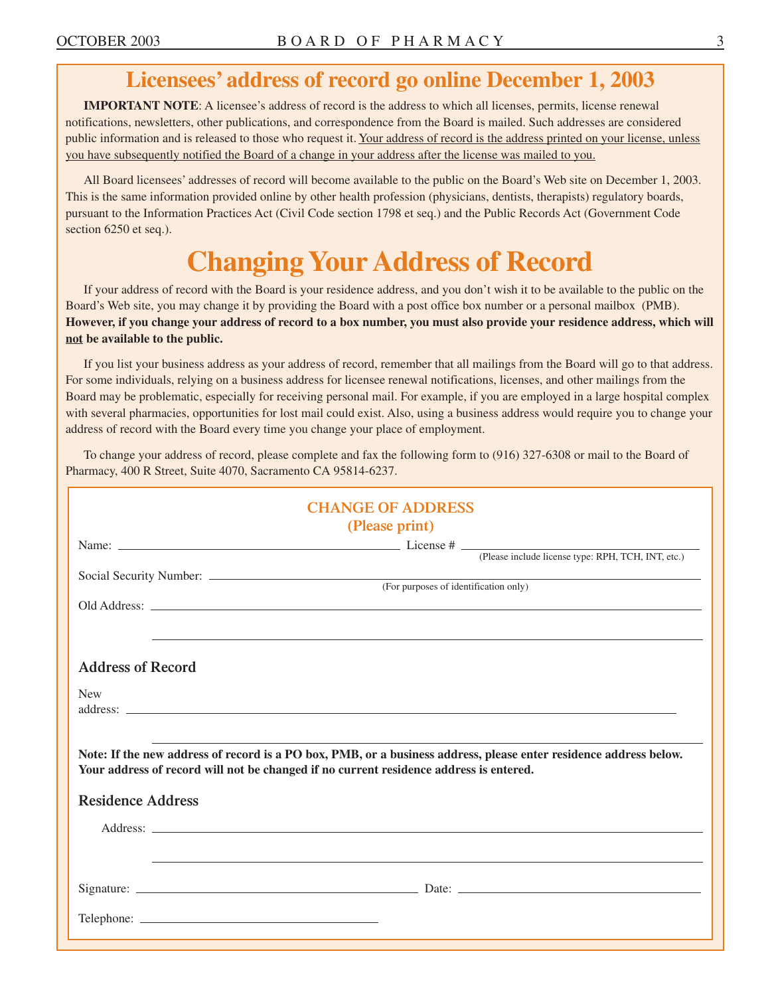### **Licensees' address of record go online December 1, 2003**

**IMPORTANT NOTE**: A licensee's address of record is the address to which all licenses, permits, license renewal notifications, newsletters, other publications, and correspondence from the Board is mailed. Such addresses are considered public information and is released to those who request it. Your address of record is the address printed on your license, unless you have subsequently notified the Board of a change in your address after the license was mailed to you.

All Board licensees' addresses of record will become available to the public on the Board's Web site on December 1, 2003. This is the same information provided online by other health profession (physicians, dentists, therapists) regulatory boards, pursuant to the Information Practices Act (Civil Code section 1798 et seq.) and the Public Records Act (Government Code section 6250 et seq.).

# **Changing Your Address of Record**

If your address of record with the Board is your residence address, and you don't wish it to be available to the public on the Board's Web site, you may change it by providing the Board with a post office box number or a personal mailbox (PMB). **However, if you change your address of record to a box number, you must also provide your residence address, which will not be available to the public.** 

If you list your business address as your address of record, remember that all mailings from the Board will go to that address. For some individuals, relying on a business address for licensee renewal notifications, licenses, and other mailings from the Board may be problematic, especially for receiving personal mail. For example, if you are employed in a large hospital complex with several pharmacies, opportunities for lost mail could exist. Also, using a business address would require you to change your address of record with the Board every time you change your place of employment.

To change your address of record, please complete and fax the following form to (916) 327-6308 or mail to the Board of Pharmacy, 400 R Street, Suite 4070, Sacramento CA 95814-6237.

| <b>CHANGE OF ADDRESS</b>                                                                                          |                                                                                   |  |
|-------------------------------------------------------------------------------------------------------------------|-----------------------------------------------------------------------------------|--|
| (Please print)                                                                                                    |                                                                                   |  |
|                                                                                                                   |                                                                                   |  |
|                                                                                                                   |                                                                                   |  |
|                                                                                                                   |                                                                                   |  |
|                                                                                                                   |                                                                                   |  |
|                                                                                                                   |                                                                                   |  |
|                                                                                                                   |                                                                                   |  |
|                                                                                                                   | ,我们也不能会有什么。""我们的人,我们也不能会有什么?""我们的人,我们也不能会有什么?""我们的人,我们也不能会有什么?""我们的人,我们也不能会有什么?"" |  |
|                                                                                                                   |                                                                                   |  |
| <b>Address of Record</b>                                                                                          |                                                                                   |  |
| <b>New</b>                                                                                                        |                                                                                   |  |
|                                                                                                                   |                                                                                   |  |
|                                                                                                                   |                                                                                   |  |
|                                                                                                                   |                                                                                   |  |
| Note: If the new address of record is a PO box, PMB, or a business address, please enter residence address below. |                                                                                   |  |
| Your address of record will not be changed if no current residence address is entered.                            |                                                                                   |  |
|                                                                                                                   |                                                                                   |  |
| <b>Residence Address</b>                                                                                          |                                                                                   |  |
| Address:                                                                                                          |                                                                                   |  |
|                                                                                                                   |                                                                                   |  |
|                                                                                                                   | ,我们也不会有什么。""我们的人,我们也不会有什么?""我们的人,我们也不会有什么?""我们的人,我们也不会有什么?""我们的人,我们也不会有什么?""我们的人  |  |
|                                                                                                                   |                                                                                   |  |
|                                                                                                                   |                                                                                   |  |
|                                                                                                                   |                                                                                   |  |
|                                                                                                                   |                                                                                   |  |
|                                                                                                                   |                                                                                   |  |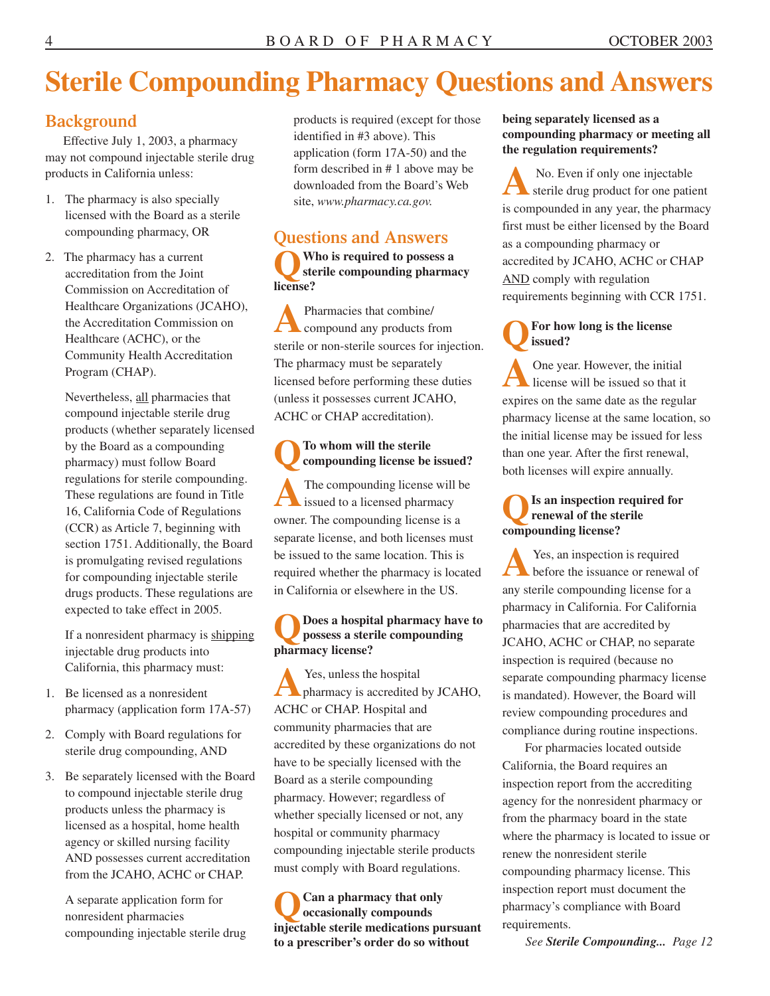# **Sterile Compounding Pharmacy Questions and Answers**

#### **Background**

Effective July 1, 2003, a pharmacy may not compound injectable sterile drug products in California unless:

- 1. The pharmacy is also specially licensed with the Board as a sterile compounding pharmacy, OR
- 2. The pharmacy has a current accreditation from the Joint Commission on Accreditation of Healthcare Organizations (JCAHO), the Accreditation Commission on Healthcare (ACHC), or the Community Health Accreditation Program (CHAP).

Nevertheless, all pharmacies that compound injectable sterile drug products (whether separately licensed by the Board as a compounding pharmacy) must follow Board regulations for sterile compounding. These regulations are found in Title 16, California Code of Regulations (CCR) as Article 7, beginning with section 1751. Additionally, the Board is promulgating revised regulations for compounding injectable sterile drugs products. These regulations are expected to take effect in 2005.

If a nonresident pharmacy is shipping injectable drug products into California, this pharmacy must:

- 1. Be licensed as a nonresident pharmacy (application form 17A-57)
- 2. Comply with Board regulations for sterile drug compounding, AND
- 3. Be separately licensed with the Board to compound injectable sterile drug products unless the pharmacy is licensed as a hospital, home health agency or skilled nursing facility AND possesses current accreditation from the JCAHO, ACHC or CHAP.

A separate application form for nonresident pharmacies compounding injectable sterile drug products is required (except for those identified in #3 above). This application (form 17A-50) and the form described in # 1 above may be downloaded from the Board's Web site, *[www.pharmacy.ca.gov.](www.pharmacy.ca.gov)* 

### **Questions and Answers**

**QWho is required to possess a sterile compounding pharmacy license?** 

**A**Pharmacies that combine/<br>compound any products from sterile or non-sterile sources for injection. The pharmacy must be separately licensed before performing these duties (unless it possesses current JCAHO, ACHC or CHAP accreditation).

**QTo whom will the sterile compounding license be issued?**  The compounding license will be **issued to a licensed pharmacy** owner. The compounding license is a separate license, and both licenses must be issued to the same location. This is required whether the pharmacy is located in California or elsewhere in the US.

### **QDoes a hospital pharmacy have to possess a sterile compounding pharmacy license?**

**A**Yes, unless the hospital pharmacy is accredited by JCAHO, ACHC or CHAP. Hospital and community pharmacies that are accredited by these organizations do not have to be specially licensed with the Board as a sterile compounding pharmacy. However; regardless of whether specially licensed or not, any hospital or community pharmacy compounding injectable sterile products must comply with Board regulations.

**QCan a pharmacy that only occasionally compounds injectable sterile medications pursuant to a prescriber's order do so without** 

**being separately licensed as a compounding pharmacy or meeting all the regulation requirements?** 

No. Even if only one injectable<br>sterile drug product for one patient is compounded in any year, the pharmacy first must be either licensed by the Board as a compounding pharmacy or accredited by JCAHO, ACHC or CHAP AND comply with regulation requirements beginning with CCR 1751.

#### For how long is the license **issued?**

**A**One year. However, the initial license will be issued so that it expires on the same date as the regular pharmacy license at the same location, so the initial license may be issued for less than one year. After the first renewal, both licenses will expire annually.

#### Is an inspection required for **renewal of the sterile compounding license?**

Yes, an inspection is required before the issuance or renewal of any sterile compounding license for a pharmacy in California. For California pharmacies that are accredited by JCAHO, ACHC or CHAP, no separate inspection is required (because no separate compounding pharmacy license is mandated). However, the Board will review compounding procedures and compliance during routine inspections.

For pharmacies located outside California, the Board requires an inspection report from the accrediting agency for the nonresident pharmacy or from the pharmacy board in the state where the pharmacy is located to issue or renew the nonresident sterile compounding pharmacy license. This inspection report must document the pharmacy's compliance with Board requirements.

*See Sterile Compounding... Page 12*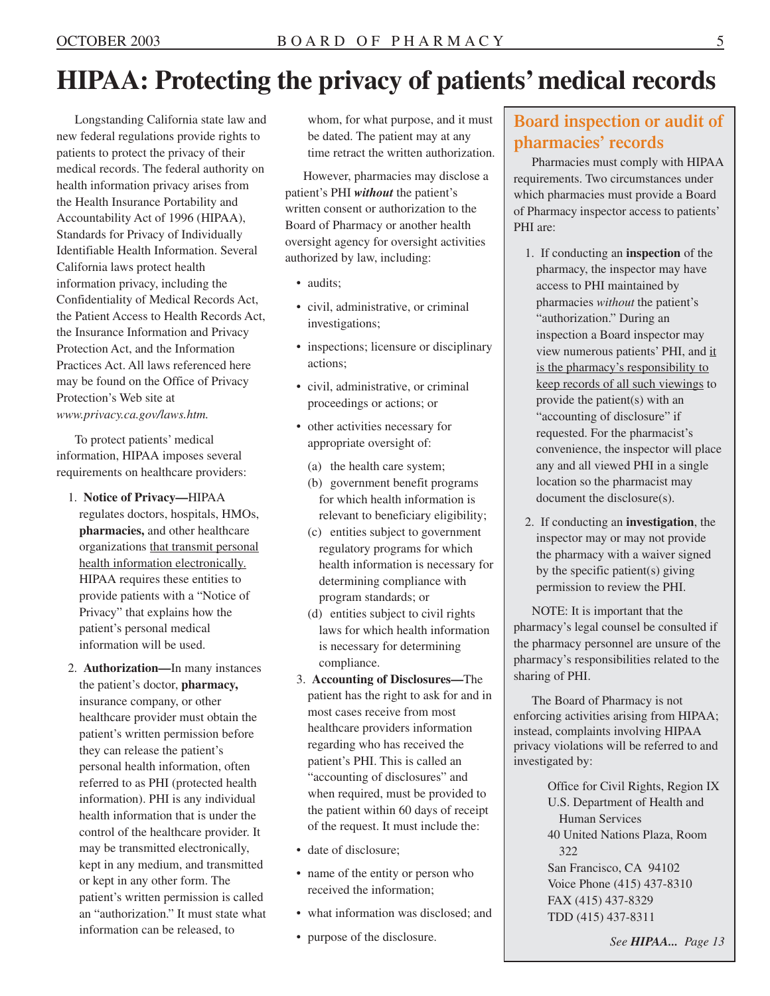## **HIPAA: Protecting the privacy of patients' medical records**

Longstanding California state law and new federal regulations provide rights to patients to protect the privacy of their medical records. The federal authority on health information privacy arises from the Health Insurance Portability and Accountability Act of 1996 (HIPAA), Standards for Privacy of Individually Identifiable Health Information. Several California laws protect health information privacy, including the Confidentiality of Medical Records Act, the Patient Access to Health Records Act, the Insurance Information and Privacy Protection Act, and the Information Practices Act. All laws referenced here may be found on the Office of Privacy Protection's Web site at *[www.privacy.ca.gov/laws.htm.](www.privacy.ca.gov/laws.htm)* 

To protect patients' medical information, HIPAA imposes several requirements on healthcare providers:

- 1. **Notice of Privacy—**HIPAA regulates doctors, hospitals, HMOs, **pharmacies,** and other healthcare organizations that transmit personal health information electronically. HIPAA requires these entities to provide patients with a "Notice of Privacy" that explains how the patient's personal medical information will be used.
- 2. **Authorization—**In many instances the patient's doctor, **pharmacy,**  insurance company, or other healthcare provider must obtain the patient's written permission before they can release the patient's personal health information, often referred to as PHI (protected health information). PHI is any individual health information that is under the control of the healthcare provider. It may be transmitted electronically, kept in any medium, and transmitted or kept in any other form. The patient's written permission is called an "authorization." It must state what information can be released, to

whom, for what purpose, and it must be dated. The patient may at any time retract the written authorization.

However, pharmacies may disclose a patient's PHI *without* the patient's written consent or authorization to the Board of Pharmacy or another health oversight agency for oversight activities authorized by law, including:

- audits;
- civil, administrative, or criminal investigations;
- inspections; licensure or disciplinary actions;
- civil, administrative, or criminal proceedings or actions; or
- other activities necessary for appropriate oversight of:
	- (a) the health care system;
	- (b) government benefit programs for which health information is relevant to beneficiary eligibility;
	- (c) entities subject to government regulatory programs for which health information is necessary for determining compliance with program standards; or
	- (d) entities subject to civil rights laws for which health information is necessary for determining compliance.
- 3. **Accounting of Disclosures—**The patient has the right to ask for and in most cases receive from most healthcare providers information regarding who has received the patient's PHI. This is called an "accounting of disclosures" and when required, must be provided to the patient within 60 days of receipt of the request. It must include the:
- date of disclosure;
- name of the entity or person who received the information;
- what information was disclosed; and
- purpose of the disclosure.

### **Board inspection or audit of pharmacies' records**

Pharmacies must comply with HIPAA requirements. Two circumstances under which pharmacies must provide a Board of Pharmacy inspector access to patients' PHI are:

- 1. If conducting an **inspection** of the pharmacy, the inspector may have access to PHI maintained by pharmacies *without* the patient's "authorization." During an inspection a Board inspector may view numerous patients' PHI, and it is the pharmacy's responsibility to keep records of all such viewings to provide the patient(s) with an "accounting of disclosure" if requested. For the pharmacist's convenience, the inspector will place any and all viewed PHI in a single location so the pharmacist may document the disclosure(s).
- 2. If conducting an **investigation**, the inspector may or may not provide the pharmacy with a waiver signed by the specific patient(s) giving permission to review the PHI.

NOTE: It is important that the pharmacy's legal counsel be consulted if the pharmacy personnel are unsure of the pharmacy's responsibilities related to the sharing of PHI.

The Board of Pharmacy is not enforcing activities arising from HIPAA; instead, complaints involving HIPAA privacy violations will be referred to and investigated by:

> Office for Civil Rights, Region IX U.S. Department of Health and Human Services 40 United Nations Plaza, Room 322 San Francisco, CA 94102

Voice Phone (415) 437-8310 FAX (415) 437-8329 TDD (415) 437-8311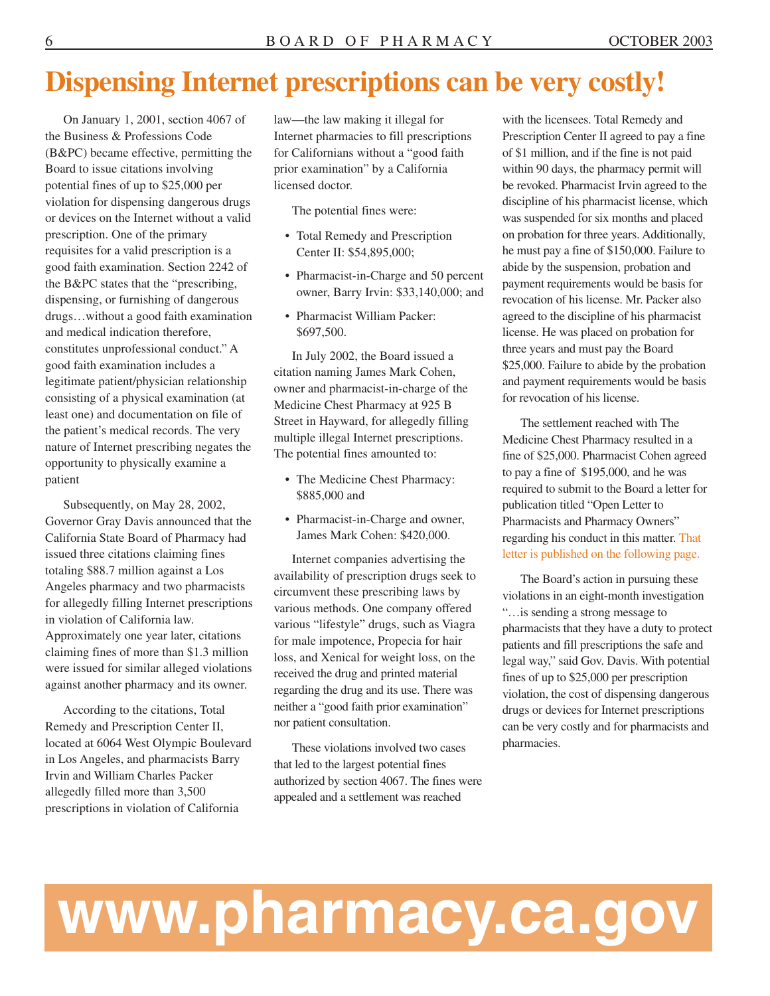# **Dispensing Internet prescriptions can be very costly!**

On January 1, 2001, section 4067 of the Business & Professions Code (B&PC) became effective, permitting the Board to issue citations involving potential fines of up to \$25,000 per violation for dispensing dangerous drugs or devices on the Internet without a valid prescription. One of the primary requisites for a valid prescription is a good faith examination. Section 2242 of the B&PC states that the "prescribing, dispensing, or furnishing of dangerous drugs…without a good faith examination and medical indication therefore, constitutes unprofessional conduct." A good faith examination includes a legitimate patient/physician relationship consisting of a physical examination (at least one) and documentation on file of the patient's medical records. The very nature of Internet prescribing negates the opportunity to physically examine a patient

Subsequently, on May 28, 2002, Governor Gray Davis announced that the California State Board of Pharmacy had issued three citations claiming fines totaling \$88.7 million against a Los Angeles pharmacy and two pharmacists for allegedly filling Internet prescriptions in violation of California law. Approximately one year later, citations claiming fines of more than \$1.3 million were issued for similar alleged violations against another pharmacy and its owner.

According to the citations, Total Remedy and Prescription Center II, located at 6064 West Olympic Boulevard in Los Angeles, and pharmacists Barry Irvin and William Charles Packer allegedly filled more than 3,500 prescriptions in violation of California

law—the law making it illegal for Internet pharmacies to fill prescriptions for Californians without a "good faith prior examination" by a California licensed doctor.

The potential fines were:

- Total Remedy and Prescription Center II: \$54,895,000;
- Pharmacist-in-Charge and 50 percent owner, Barry Irvin: \$33,140,000; and
- Pharmacist William Packer: \$697,500.

In July 2002, the Board issued a citation naming James Mark Cohen, owner and pharmacist-in-charge of the Medicine Chest Pharmacy at 925 B Street in Hayward, for allegedly filling multiple illegal Internet prescriptions. The potential fines amounted to:

- The Medicine Chest Pharmacy: \$885,000 and
- Pharmacist-in-Charge and owner, James Mark Cohen: \$420,000.

Internet companies advertising the availability of prescription drugs seek to circumvent these prescribing laws by various methods. One company offered various "lifestyle" drugs, such as Viagra for male impotence, Propecia for hair loss, and Xenical for weight loss, on the received the drug and printed material regarding the drug and its use. There was neither a "good faith prior examination" nor patient consultation.

These violations involved two cases that led to the largest potential fines authorized by section 4067. The fines were appealed and a settlement was reached

with the licensees. Total Remedy and Prescription Center II agreed to pay a fine of \$1 million, and if the fine is not paid within 90 days, the pharmacy permit will be revoked. Pharmacist Irvin agreed to the discipline of his pharmacist license, which was suspended for six months and placed on probation for three years. Additionally, he must pay a fine of \$150,000. Failure to abide by the suspension, probation and payment requirements would be basis for revocation of his license. Mr. Packer also agreed to the discipline of his pharmacist license. He was placed on probation for three years and must pay the Board \$25,000. Failure to abide by the probation and payment requirements would be basis for revocation of his license.

The settlement reached with The Medicine Chest Pharmacy resulted in a fine of \$25,000. Pharmacist Cohen agreed to pay a fine of \$195,000, and he was required to submit to the Board a letter for publication titled "Open Letter to Pharmacists and Pharmacy Owners" regarding his conduct in this matter. That letter is published on the following page.

The Board's action in pursuing these violations in an eight-month investigation "…is sending a strong message to pharmacists that they have a duty to protect patients and fill prescriptions the safe and legal way," said Gov. Davis. With potential fines of up to \$25,000 per prescription violation, the cost of dispensing dangerous drugs or devices for Internet prescriptions can be very costly and for pharmacists and pharmacies.

# **www.pharmacy.ca.gov**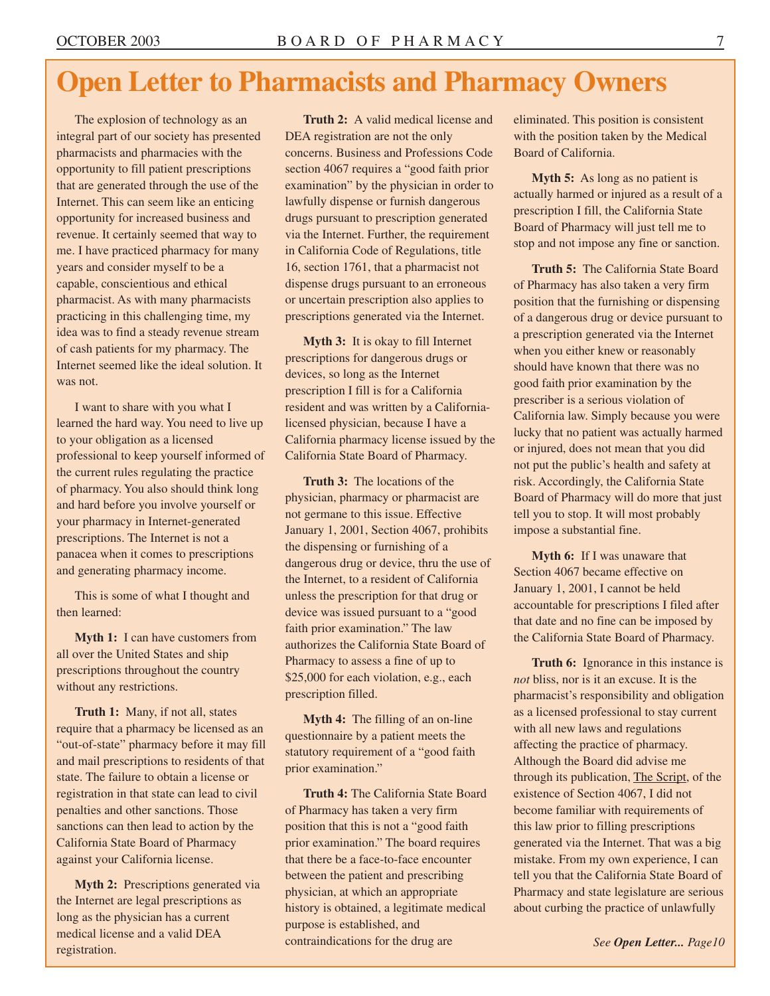# **Open Letter to Pharmacists and Pharmacy Owners**

The explosion of technology as an integral part of our society has presented pharmacists and pharmacies with the opportunity to fill patient prescriptions that are generated through the use of the Internet. This can seem like an enticing opportunity for increased business and revenue. It certainly seemed that way to me. I have practiced pharmacy for many years and consider myself to be a capable, conscientious and ethical pharmacist. As with many pharmacists practicing in this challenging time, my idea was to find a steady revenue stream of cash patients for my pharmacy. The Internet seemed like the ideal solution. It was not.

I want to share with you what I learned the hard way. You need to live up to your obligation as a licensed professional to keep yourself informed of the current rules regulating the practice of pharmacy. You also should think long and hard before you involve yourself or your pharmacy in Internet-generated prescriptions. The Internet is not a panacea when it comes to prescriptions and generating pharmacy income.

This is some of what I thought and then learned:

**Myth 1:** I can have customers from all over the United States and ship prescriptions throughout the country without any restrictions.

**Truth 1:** Many, if not all, states require that a pharmacy be licensed as an "out-of-state" pharmacy before it may fill and mail prescriptions to residents of that state. The failure to obtain a license or registration in that state can lead to civil penalties and other sanctions. Those sanctions can then lead to action by the California State Board of Pharmacy against your California license.

**Myth 2:** Prescriptions generated via the Internet are legal prescriptions as long as the physician has a current medical license and a valid DEA registration.

**Truth 2:** A valid medical license and DEA registration are not the only concerns. Business and Professions Code section 4067 requires a "good faith prior examination" by the physician in order to lawfully dispense or furnish dangerous drugs pursuant to prescription generated via the Internet. Further, the requirement in California Code of Regulations, title 16, section 1761, that a pharmacist not dispense drugs pursuant to an erroneous or uncertain prescription also applies to prescriptions generated via the Internet.

**Myth 3:** It is okay to fill Internet prescriptions for dangerous drugs or devices, so long as the Internet prescription I fill is for a California resident and was written by a Californialicensed physician, because I have a California pharmacy license issued by the California State Board of Pharmacy.

 **Truth 3:** The locations of the physician, pharmacy or pharmacist are not germane to this issue. Effective January 1, 2001, Section 4067, prohibits the dispensing or furnishing of a dangerous drug or device, thru the use of the Internet, to a resident of California unless the prescription for that drug or device was issued pursuant to a "good faith prior examination." The law authorizes the California State Board of Pharmacy to assess a fine of up to \$25,000 for each violation, e.g., each prescription filled.

 **Myth 4:** The filling of an on-line questionnaire by a patient meets the statutory requirement of a "good faith prior examination."

**Truth 4:** The California State Board of Pharmacy has taken a very firm position that this is not a "good faith prior examination." The board requires that there be a face-to-face encounter between the patient and prescribing physician, at which an appropriate history is obtained, a legitimate medical purpose is established, and contraindications for the drug are

eliminated. This position is consistent with the position taken by the Medical Board of California.

 **Myth 5:** As long as no patient is actually harmed or injured as a result of a prescription I fill, the California State Board of Pharmacy will just tell me to stop and not impose any fine or sanction.

 **Truth 5:** The California State Board of Pharmacy has also taken a very firm position that the furnishing or dispensing of a dangerous drug or device pursuant to a prescription generated via the Internet when you either knew or reasonably should have known that there was no good faith prior examination by the prescriber is a serious violation of California law. Simply because you were lucky that no patient was actually harmed or injured, does not mean that you did not put the public's health and safety at risk. Accordingly, the California State Board of Pharmacy will do more that just tell you to stop. It will most probably impose a substantial fine.

**Myth 6:** If I was unaware that Section 4067 became effective on January 1, 2001, I cannot be held accountable for prescriptions I filed after that date and no fine can be imposed by the California State Board of Pharmacy.

**Truth 6:** Ignorance in this instance is *not* bliss, nor is it an excuse. It is the pharmacist's responsibility and obligation as a licensed professional to stay current with all new laws and regulations affecting the practice of pharmacy. Although the Board did advise me through its publication, The Script, of the existence of Section 4067, I did not become familiar with requirements of this law prior to filling prescriptions generated via the Internet. That was a big mistake. From my own experience, I can tell you that the California State Board of Pharmacy and state legislature are serious about curbing the practice of unlawfully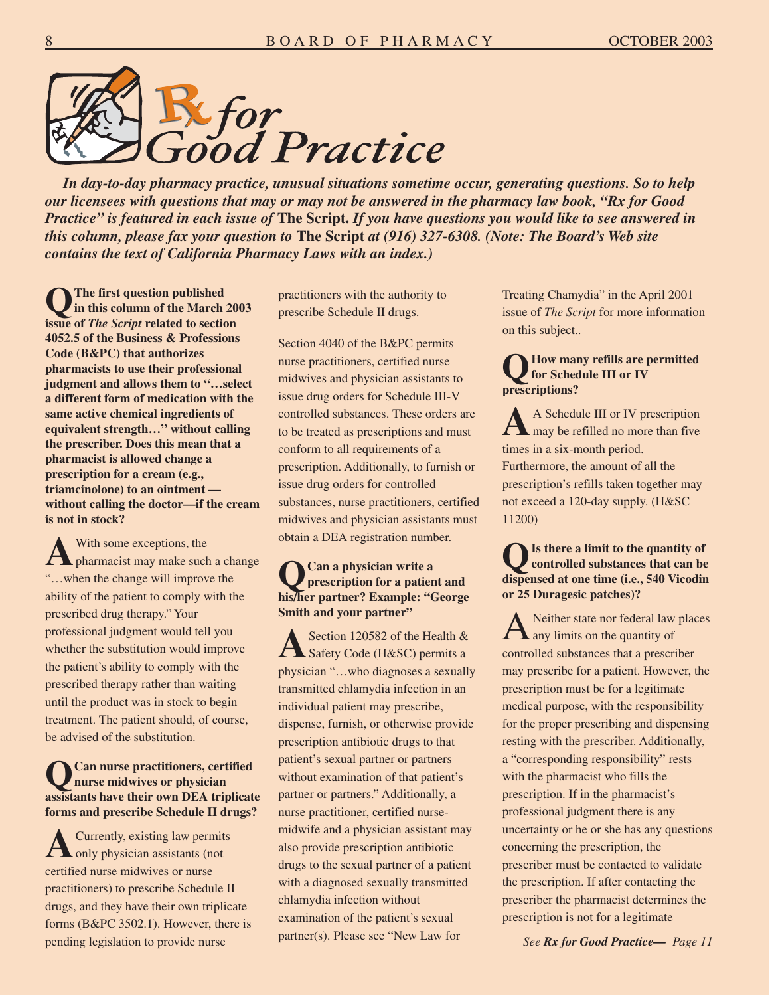

*In day-to-day pharmacy practice, unusual situations sometime occur, generating questions. So to help our licensees with questions that may or may not be answered in the pharmacy law book, "Rx for Good Practice" is featured in each issue of* **The Script.** *If you have questions you would like to see answered in this column, please fax your question to* **The Script** *at (916) 327-6308. (Note: The Board's Web site contains the text of California Pharmacy Laws with an index.)* 

**QThe first question published in this column of the March 2003 issue of** *The Script* **related to section 4052.5 of the Business & Professions Code (B&PC) that authorizes pharmacists to use their professional judgment and allows them to "…select a different form of medication with the same active chemical ingredients of equivalent strength…" without calling the prescriber. Does this mean that a pharmacist is allowed change a prescription for a cream (e.g., triamcinolone) to an ointment without calling the doctor—if the cream is not in stock?** 

**A**With some exceptions, the pharmacist may make such a change "…when the change will improve the ability of the patient to comply with the prescribed drug therapy." Your professional judgment would tell you whether the substitution would improve the patient's ability to comply with the prescribed therapy rather than waiting until the product was in stock to begin treatment. The patient should, of course, be advised of the substitution.

#### **QCan nurse practitioners, certified nurse midwives or physician assistants have their own DEA triplicate forms and prescribe Schedule II drugs?**

**A**Currently, existing law permits only physician assistants (not certified nurse midwives or nurse practitioners) to prescribe Schedule II drugs, and they have their own triplicate forms (B&PC 3502.1). However, there is pending legislation to provide nurse

practitioners with the authority to prescribe Schedule II drugs.

Section 4040 of the B&PC permits nurse practitioners, certified nurse midwives and physician assistants to issue drug orders for Schedule III-V controlled substances. These orders are to be treated as prescriptions and must conform to all requirements of a prescription. Additionally, to furnish or issue drug orders for controlled substances, nurse practitioners, certified midwives and physician assistants must obtain a DEA registration number.

### **QCan a physician write a prescription for a patient and his/her partner? Example: "George Smith and your partner"**

**A**Section 120582 of the Health & Safety Code (H&SC) permits a physician "…who diagnoses a sexually transmitted chlamydia infection in an individual patient may prescribe, dispense, furnish, or otherwise provide prescription antibiotic drugs to that patient's sexual partner or partners without examination of that patient's partner or partners." Additionally, a nurse practitioner, certified nursemidwife and a physician assistant may also provide prescription antibiotic drugs to the sexual partner of a patient with a diagnosed sexually transmitted chlamydia infection without examination of the patient's sexual partner(s). Please see "New Law for

Treating Chamydia" in the April 2001 issue of *The Script* for more information on this subject..

#### **QHow many refills are permitted for Schedule III or IV prescriptions?**

A Schedule III or IV prescription<br>
may be refilled no more than five times in a six-month period. Furthermore, the amount of all the prescription's refills taken together may not exceed a 120-day supply. (H&SC 11200)

**QIs there a limit to the quantity of controlled substances that can be dispensed at one time (i.e., 540 Vicodin or 25 Duragesic patches)?** 

Neither state nor federal law places  $\sum$  any limits on the quantity of controlled substances that a prescriber may prescribe for a patient. However, the prescription must be for a legitimate medical purpose, with the responsibility for the proper prescribing and dispensing resting with the prescriber. Additionally, a "corresponding responsibility" rests with the pharmacist who fills the prescription. If in the pharmacist's professional judgment there is any uncertainty or he or she has any questions concerning the prescription, the prescriber must be contacted to validate the prescription. If after contacting the prescriber the pharmacist determines the prescription is not for a legitimate

*See Rx for Good Practice— Page 11*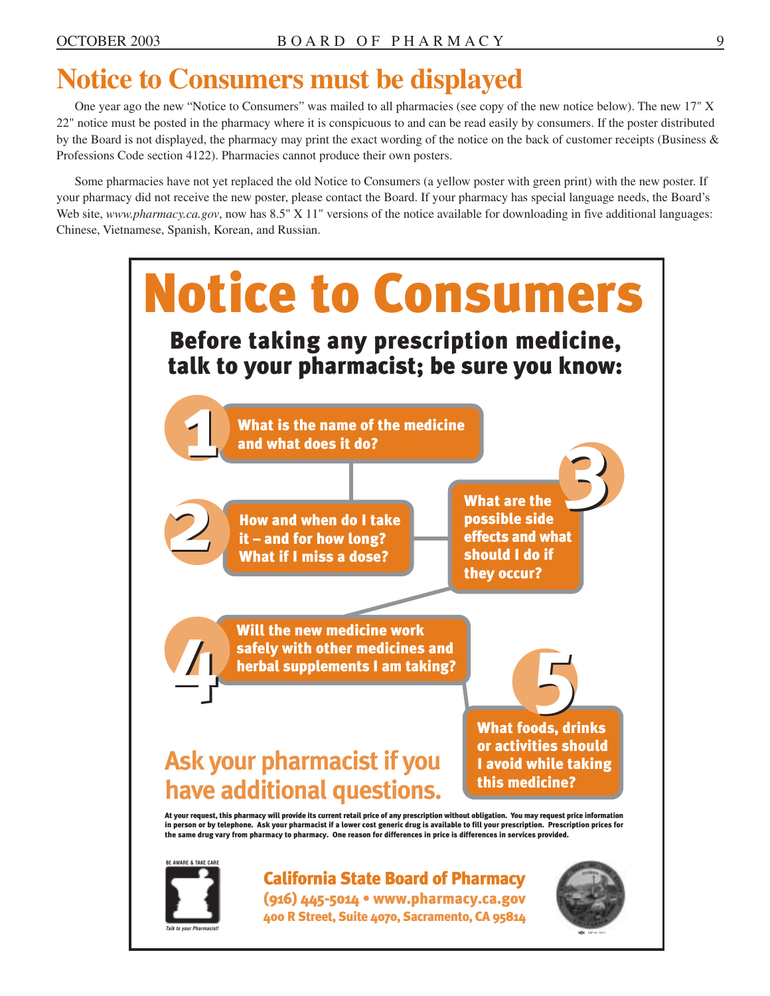**Talk to your Pharmacist!** 

# **Notice to Consumers must be displayed**

One year ago the new "Notice to Consumers" was mailed to all pharmacies (see copy of the new notice below). The new 17" X 22" notice must be posted in the pharmacy where it is conspicuous to and can be read easily by consumers. If the poster distributed by the Board is not displayed, the pharmacy may print the exact wording of the notice on the back of customer receipts (Business  $\&$ Professions Code section 4122). Pharmacies cannot produce their own posters.

Some pharmacies have not yet replaced the old Notice to Consumers (a yellow poster with green print) with the new poster. If your pharmacy did not receive the new poster, please contact the Board. If your pharmacy has special language needs, the Board's Web site, *<www.pharmacy.ca.gov>*, now has 8.5" X 11" versions of the notice available for downloading in five additional languages: Chinese, Vietnamese, Spanish, Korean, and Russian.



OSP 02 72011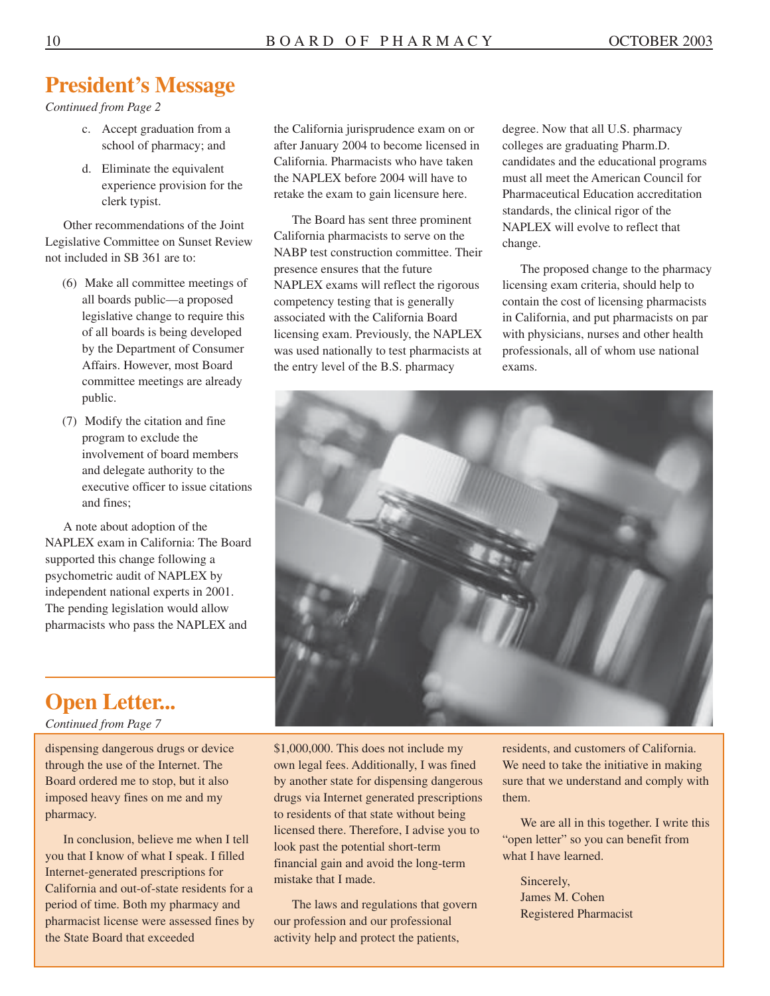### **President's Message**

*Continued from Page 2* 

- c. Accept graduation from a school of pharmacy; and
- d. Eliminate the equivalent experience provision for the clerk typist.

Other recommendations of the Joint Legislative Committee on Sunset Review not included in SB 361 are to:

- (6) Make all committee meetings of all boards public—a proposed legislative change to require this of all boards is being developed by the Department of Consumer Affairs. However, most Board committee meetings are already public.
- (7) Modify the citation and fine program to exclude the involvement of board members and delegate authority to the executive officer to issue citations and fines;

A note about adoption of the NAPLEX exam in California: The Board supported this change following a psychometric audit of NAPLEX by independent national experts in 2001. The pending legislation would allow pharmacists who pass the NAPLEX and

the California jurisprudence exam on or after January 2004 to become licensed in California. Pharmacists who have taken the NAPLEX before 2004 will have to retake the exam to gain licensure here.

The Board has sent three prominent California pharmacists to serve on the NABP test construction committee. Their presence ensures that the future NAPLEX exams will reflect the rigorous competency testing that is generally associated with the California Board licensing exam. Previously, the NAPLEX was used nationally to test pharmacists at the entry level of the B.S. pharmacy

degree. Now that all U.S. pharmacy colleges are graduating Pharm.D. candidates and the educational programs must all meet the American Council for Pharmaceutical Education accreditation standards, the clinical rigor of the NAPLEX will evolve to reflect that change.

The proposed change to the pharmacy licensing exam criteria, should help to contain the cost of licensing pharmacists in California, and put pharmacists on par with physicians, nurses and other health professionals, all of whom use national exams.



### **Open Letter...**

#### *Continued from Page 7*

dispensing dangerous drugs or device through the use of the Internet. The Board ordered me to stop, but it also imposed heavy fines on me and my pharmacy.

In conclusion, believe me when I tell you that I know of what I speak. I filled Internet-generated prescriptions for California and out-of-state residents for a period of time. Both my pharmacy and pharmacist license were assessed fines by the State Board that exceeded

\$1,000,000. This does not include my own legal fees. Additionally, I was fined by another state for dispensing dangerous drugs via Internet generated prescriptions to residents of that state without being licensed there. Therefore, I advise you to look past the potential short-term financial gain and avoid the long-term mistake that I made.

The laws and regulations that govern our profession and our professional activity help and protect the patients,

residents, and customers of California. We need to take the initiative in making sure that we understand and comply with them.

We are all in this together. I write this "open letter" so you can benefit from what I have learned.

Sincerely, James M. Cohen Registered Pharmacist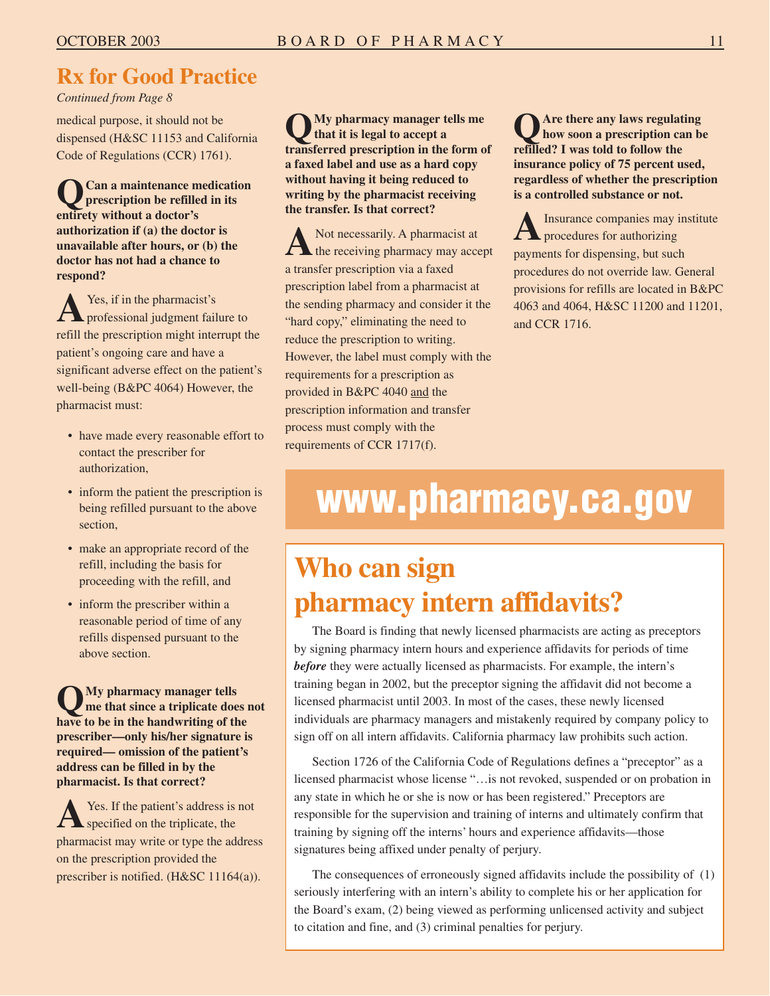### **Rx for Good Practice**

*Continued from Page 8* 

medical purpose, it should not be dispensed (H&SC 11153 and California Code of Regulations (CCR) 1761).

**QCan a maintenance medication prescription be refilled in its entirety without a doctor's authorization if (a) the doctor is unavailable after hours, or (b) the doctor has not had a chance to respond?** 

A<sup>Yes, if in the pharmacist's professional judgment failure to</sup> refill the prescription might interrupt the patient's ongoing care and have a significant adverse effect on the patient's well-being (B&PC 4064) However, the pharmacist must:

- have made every reasonable effort to contact the prescriber for authorization,
- inform the patient the prescription is being refilled pursuant to the above section,
- make an appropriate record of the refill, including the basis for proceeding with the refill, and
- inform the prescriber within a reasonable period of time of any refills dispensed pursuant to the above section.

**QMy pharmacy manager tells me that since a triplicate does not have to be in the handwriting of the prescriber—only his/her signature is required— omission of the patient's address can be filled in by the pharmacist. Is that correct?** 

A Yes. If the patient's address is not specified on the triplicate, the pharmacist may write or type the address on the prescription provided the prescriber is notified. (H&SC 11164(a)).

**QMy pharmacy manager tells me that it is legal to accept a transferred prescription in the form of a faxed label and use as a hard copy without having it being reduced to writing by the pharmacist receiving the transfer. Is that correct?** 

A Not necessarily. A pharmacist at the receiving pharmacy may accept a transfer prescription via a faxed prescription label from a pharmacist at the sending pharmacy and consider it the "hard copy," eliminating the need to reduce the prescription to writing. However, the label must comply with the requirements for a prescription as provided in B&PC 4040 and the prescription information and transfer process must comply with the requirements of CCR 1717(f).

**QAre there any laws regulating how soon a prescription can be refilled? I was told to follow the insurance policy of 75 percent used, regardless of whether the prescription is a controlled substance or not.** 

**A**Insurance companies may institute procedures for authorizing payments for dispensing, but such procedures do not override law. General provisions for refills are located in B&PC 4063 and 4064, H&SC 11200 and 11201, and CCR 1716.

# **www.pharmacy.ca.gov**

# **Who can sign pharmacy intern affidavits?**

The Board is finding that newly licensed pharmacists are acting as preceptors by signing pharmacy intern hours and experience affidavits for periods of time *before* they were actually licensed as pharmacists. For example, the intern's training began in 2002, but the preceptor signing the affidavit did not become a licensed pharmacist until 2003. In most of the cases, these newly licensed individuals are pharmacy managers and mistakenly required by company policy to sign off on all intern affidavits. California pharmacy law prohibits such action.

Section 1726 of the California Code of Regulations defines a "preceptor" as a licensed pharmacist whose license "…is not revoked, suspended or on probation in any state in which he or she is now or has been registered." Preceptors are responsible for the supervision and training of interns and ultimately confirm that training by signing off the interns' hours and experience affidavits—those signatures being affixed under penalty of perjury.

The consequences of erroneously signed affidavits include the possibility of (1) seriously interfering with an intern's ability to complete his or her application for the Board's exam, (2) being viewed as performing unlicensed activity and subject to citation and fine, and (3) criminal penalties for perjury.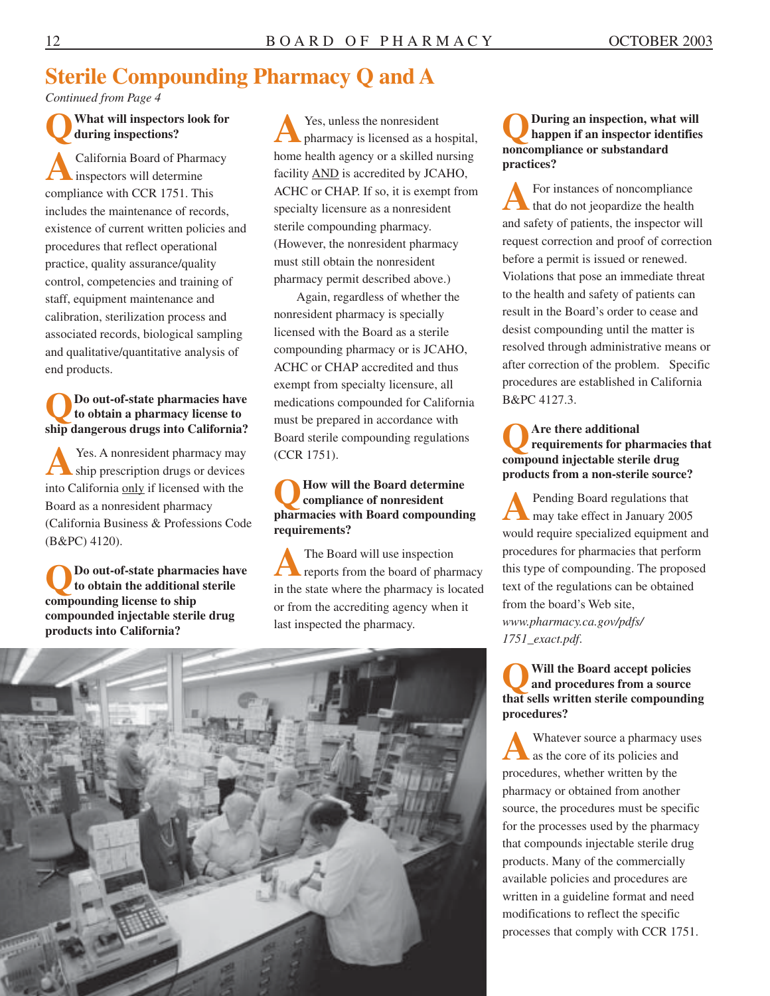### **Sterile Compounding Pharmacy Q and A**

*Continued from Page 4* 

**QWhat will inspectors look for during inspections?** 

**A**California Board of Pharmacy inspectors will determine compliance with CCR 1751. This includes the maintenance of records, existence of current written policies and procedures that reflect operational practice, quality assurance/quality control, competencies and training of staff, equipment maintenance and calibration, sterilization process and associated records, biological sampling and qualitative/quantitative analysis of end products.

### **QDo out-of-state pharmacies have to obtain a pharmacy license to ship dangerous drugs into California?**

Yes. A nonresident pharmacy may ship prescription drugs or devices into California only if licensed with the Board as a nonresident pharmacy (California Business & Professions Code (B&PC) 4120).

**QDo out-of-state pharmacies have to obtain the additional sterile compounding license to ship compounded injectable sterile drug products into California?** 

**A**Yes, unless the nonresident pharmacy is licensed as a hospital, home health agency or a skilled nursing facility AND is accredited by JCAHO, ACHC or CHAP. If so, it is exempt from specialty licensure as a nonresident sterile compounding pharmacy. (However, the nonresident pharmacy must still obtain the nonresident pharmacy permit described above.)

Again, regardless of whether the nonresident pharmacy is specially licensed with the Board as a sterile compounding pharmacy or is JCAHO, ACHC or CHAP accredited and thus exempt from specialty licensure, all medications compounded for California must be prepared in accordance with Board sterile compounding regulations (CCR 1751).

### **QHow will the Board determine compliance of nonresident pharmacies with Board compounding requirements?**

**A**The Board will use inspection reports from the board of pharmacy in the state where the pharmacy is located or from the accrediting agency when it last inspected the pharmacy.



### **QDuring an inspection, what will happen if an inspector identifies noncompliance or substandard practices?**

**A** For instances of noncompliance that do not jeopardize the health and safety of patients, the inspector will request correction and proof of correction before a permit is issued or renewed. Violations that pose an immediate threat to the health and safety of patients can result in the Board's order to cease and desist compounding until the matter is resolved through administrative means or after correction of the problem. Specific procedures are established in California B&PC 4127.3.

### **QAre there additional requirements for pharmacies that compound injectable sterile drug products from a non-sterile source?**

**A**Pending Board regulations that may take effect in January 2005 would require specialized equipment and procedures for pharmacies that perform this type of compounding. The proposed text of the regulations can be obtained from the board's Web site, *<www.pharmacy.ca.gov/pdfs>/ 1751\_exact.pdf*.

### **QWill the Board accept policies and procedures from a source that sells written sterile compounding procedures?**

**A**Whatever source a pharmacy uses as the core of its policies and procedures, whether written by the pharmacy or obtained from another source, the procedures must be specific for the processes used by the pharmacy that compounds injectable sterile drug products. Many of the commercially available policies and procedures are written in a guideline format and need modifications to reflect the specific processes that comply with CCR 1751.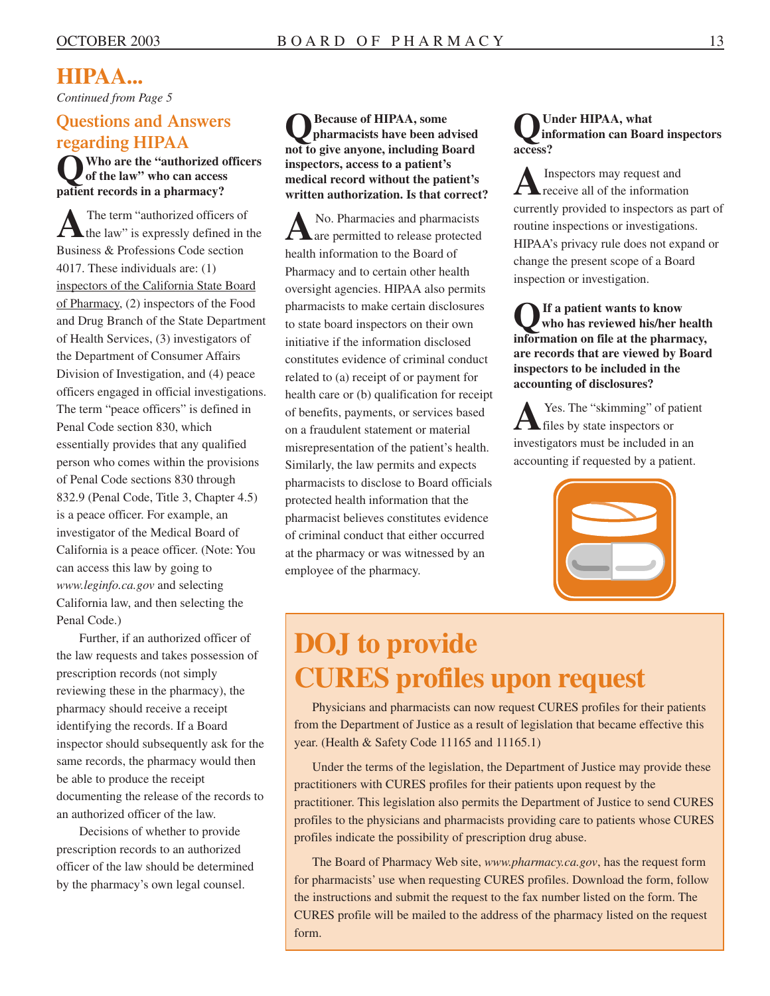### **HIPAA...**  *Continued from Page 5*

#### **Questions and Answers regarding HIPAA**

**QWho are the "authorized officers of the law" who can access patient records in a pharmacy?** 

A The term "authorized officers of the law" is expressly defined in the Business & Professions Code section 4017. These individuals are: (1) inspectors of the California State Board of Pharmacy, (2) inspectors of the Food and Drug Branch of the State Department of Health Services, (3) investigators of the Department of Consumer Affairs Division of Investigation, and (4) peace officers engaged in official investigations. The term "peace officers" is defined in Penal Code section 830, which essentially provides that any qualified person who comes within the provisions of Penal Code sections 830 through 832.9 (Penal Code, Title 3, Chapter 4.5) is a peace officer. For example, an investigator of the Medical Board of California is a peace officer. (Note: You can access this law by going to *<www.leginfo.ca.gov>* and selecting California law, and then selecting the Penal Code.)

Further, if an authorized officer of the law requests and takes possession of prescription records (not simply reviewing these in the pharmacy), the pharmacy should receive a receipt identifying the records. If a Board inspector should subsequently ask for the same records, the pharmacy would then be able to produce the receipt documenting the release of the records to an authorized officer of the law.

Decisions of whether to provide prescription records to an authorized officer of the law should be determined by the pharmacy's own legal counsel.

# Because of HIPAA, some<br>
pharmacists have been advised<br>
o give anyone, including Board<br>
access? not to give anyone, including Board written authorization. Is that correct?

oversight agencies. HIPAA also permits pharmacists to make certain disclosures **QIf a patient wants to know** to state board inspectors on their own **W** who has reviewed his/her health initiative if the information disclosed<br> **information on file at the pharmacy,**<br> **are records that are viewed by Board are records that are viewed by I<br>inspectors to be included in the inspectors to be included in the** related to (a) receipt of or payment for **accounting of disclosures?**  of benefits, payments, or services based<br>on a fraudulent statement or material<br>diles by state inspectors or health care or (b) qualification for receipt of benefits, payments, or services based  $\sum$  Yes. The "skimming" of patient misrepresentation of the patient's health. investigators must be included in an accounting if requested by a patient. Similarly, the law permits and expects pharmacists to disclose to Board officials protected health information that the pharmacist believes constitutes evidence of criminal conduct that either occurred at the pharmacy or was witnessed by an employee of the pharmacy.

**pharmacists have been advised information can Board inspectors** 

**inspectors, access to a patient's**<br> **inspectors** may request and<br> **written authorization. Is that correct?**<br> **A** Inspectors may request and<br>
currently provided to inspectors as part of No. Pharmacies and pharmacists<br>
are permitted to release protected<br>
health information to the Board of<br>
Pharmacy and to certain other health<br>
Mange the present scope of a Board<br>
inspection or investigation.



# **DOJ to provide CURES profiles upon request**

Physicians and pharmacists can now request CURES profiles for their patients from the Department of Justice as a result of legislation that became effective this year. (Health & Safety Code 11165 and 11165.1)

Under the terms of the legislation, the Department of Justice may provide these practitioners with CURES profiles for their patients upon request by the practitioner. This legislation also permits the Department of Justice to send CURES profiles to the physicians and pharmacists providing care to patients whose CURES profiles indicate the possibility of prescription drug abuse.

The Board of Pharmacy Web site, *<www.pharmacy.ca.gov>*, has the request form for pharmacists' use when requesting CURES profiles. Download the form, follow the instructions and submit the request to the fax number listed on the form. The CURES profile will be mailed to the address of the pharmacy listed on the request form.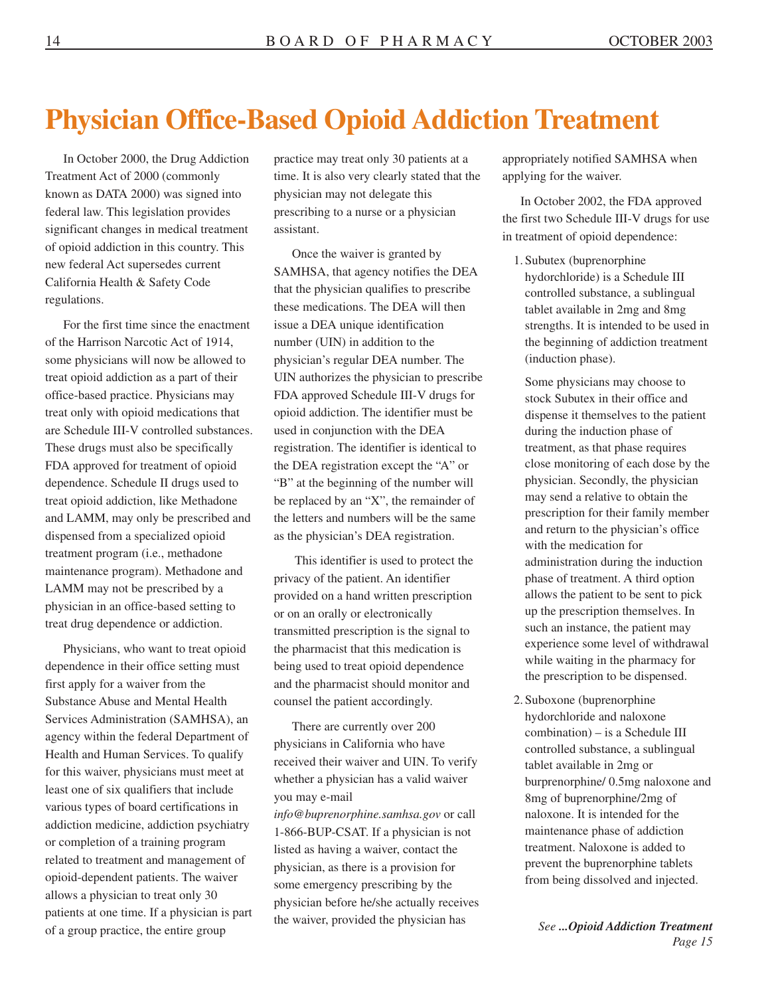# **Physician Office-Based Opioid Addiction Treatment**

In October 2000, the Drug Addiction Treatment Act of 2000 (commonly known as DATA 2000) was signed into federal law. This legislation provides significant changes in medical treatment of opioid addiction in this country. This new federal Act supersedes current California Health & Safety Code regulations.

For the first time since the enactment of the Harrison Narcotic Act of 1914, some physicians will now be allowed to treat opioid addiction as a part of their office-based practice. Physicians may treat only with opioid medications that are Schedule III-V controlled substances. These drugs must also be specifically FDA approved for treatment of opioid dependence. Schedule II drugs used to treat opioid addiction, like Methadone and LAMM, may only be prescribed and dispensed from a specialized opioid treatment program (i.e., methadone maintenance program). Methadone and LAMM may not be prescribed by a physician in an office-based setting to treat drug dependence or addiction.

Physicians, who want to treat opioid dependence in their office setting must first apply for a waiver from the Substance Abuse and Mental Health Services Administration (SAMHSA), an agency within the federal Department of Health and Human Services. To qualify for this waiver, physicians must meet at least one of six qualifiers that include various types of board certifications in addiction medicine, addiction psychiatry or completion of a training program related to treatment and management of opioid-dependent patients. The waiver allows a physician to treat only 30 patients at one time. If a physician is part of a group practice, the entire group

practice may treat only 30 patients at a time. It is also very clearly stated that the physician may not delegate this prescribing to a nurse or a physician assistant.

Once the waiver is granted by SAMHSA, that agency notifies the DEA that the physician qualifies to prescribe these medications. The DEA will then issue a DEA unique identification number (UIN) in addition to the physician's regular DEA number. The UIN authorizes the physician to prescribe FDA approved Schedule III-V drugs for opioid addiction. The identifier must be used in conjunction with the DEA registration. The identifier is identical to the DEA registration except the "A" or "B" at the beginning of the number will be replaced by an "X", the remainder of the letters and numbers will be the same as the physician's DEA registration.

This identifier is used to protect the privacy of the patient. An identifier provided on a hand written prescription or on an orally or electronically transmitted prescription is the signal to the pharmacist that this medication is being used to treat opioid dependence and the pharmacist should monitor and counsel the patient accordingly.

There are currently over 200 physicians in California who have received their waiver and UIN. To verify whether a physician has a valid waiver you may e-mail

*[info@buprenorphine.samhsa.gov](mailto:info@buprenorphine.samhsa.gov)* or call 1-866-BUP-CSAT. If a physician is not listed as having a waiver, contact the physician, as there is a provision for some emergency prescribing by the physician before he/she actually receives the waiver, provided the physician has

appropriately notified SAMHSA when applying for the waiver.

In October 2002, the FDA approved the first two Schedule III-V drugs for use in treatment of opioid dependence:

1. Subutex (buprenorphine hydorchloride) is a Schedule III controlled substance, a sublingual tablet available in 2mg and 8mg strengths. It is intended to be used in the beginning of addiction treatment (induction phase).

Some physicians may choose to stock Subutex in their office and dispense it themselves to the patient during the induction phase of treatment, as that phase requires close monitoring of each dose by the physician. Secondly, the physician may send a relative to obtain the prescription for their family member and return to the physician's office with the medication for administration during the induction phase of treatment. A third option allows the patient to be sent to pick up the prescription themselves. In such an instance, the patient may experience some level of withdrawal while waiting in the pharmacy for the prescription to be dispensed.

2. Suboxone (buprenorphine hydorchloride and naloxone combination) – is a Schedule III controlled substance, a sublingual tablet available in 2mg or burprenorphine/ 0.5mg naloxone and 8mg of buprenorphine/2mg of naloxone. It is intended for the maintenance phase of addiction treatment. Naloxone is added to prevent the buprenorphine tablets from being dissolved and injected.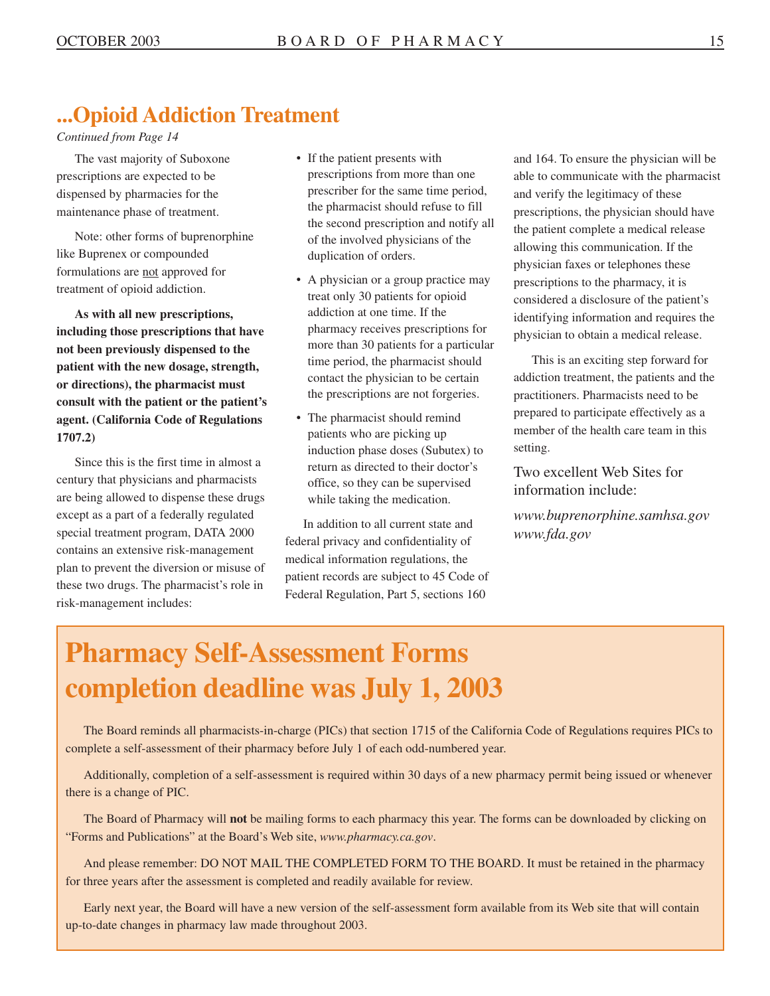### **...Opioid Addiction Treatment**

*Continued from Page 14* 

The vast majority of Suboxone prescriptions are expected to be dispensed by pharmacies for the maintenance phase of treatment.

Note: other forms of buprenorphine like Buprenex or compounded formulations are not approved for treatment of opioid addiction.

**As with all new prescriptions, including those prescriptions that have not been previously dispensed to the patient with the new dosage, strength, or directions), the pharmacist must consult with the patient or the patient's agent. (California Code of Regulations 1707.2)** 

Since this is the first time in almost a century that physicians and pharmacists are being allowed to dispense these drugs except as a part of a federally regulated special treatment program, DATA 2000 contains an extensive risk-management plan to prevent the diversion or misuse of these two drugs. The pharmacist's role in risk-management includes:

- If the patient presents with prescriptions from more than one prescriber for the same time period, the pharmacist should refuse to fill the second prescription and notify all of the involved physicians of the duplication of orders.
- A physician or a group practice may treat only 30 patients for opioid addiction at one time. If the pharmacy receives prescriptions for more than 30 patients for a particular time period, the pharmacist should contact the physician to be certain the prescriptions are not forgeries.
- The pharmacist should remind patients who are picking up induction phase doses (Subutex) to return as directed to their doctor's office, so they can be supervised while taking the medication.

In addition to all current state and federal privacy and confidentiality of medical information regulations, the patient records are subject to 45 Code of Federal Regulation, Part 5, sections 160

and 164. To ensure the physician will be able to communicate with the pharmacist and verify the legitimacy of these prescriptions, the physician should have the patient complete a medical release allowing this communication. If the physician faxes or telephones these prescriptions to the pharmacy, it is considered a disclosure of the patient's identifying information and requires the physician to obtain a medical release.

This is an exciting step forward for addiction treatment, the patients and the practitioners. Pharmacists need to be prepared to participate effectively as a member of the health care team in this setting.

Two excellent Web Sites for information include:

*<www.buprenorphine.samhsa.gov> <www.fda.gov>* 

# **Pharmacy Self-Assessment Forms completion deadline was July 1, 2003**

The Board reminds all pharmacists-in-charge (PICs) that section 1715 of the California Code of Regulations requires PICs to complete a self-assessment of their pharmacy before July 1 of each odd-numbered year.

Additionally, completion of a self-assessment is required within 30 days of a new pharmacy permit being issued or whenever there is a change of PIC.

The Board of Pharmacy will **not** be mailing forms to each pharmacy this year. The forms can be downloaded by clicking on "Forms and Publications" at the Board's Web site, *<www.pharmacy.ca.gov>*.

And please remember: DO NOT MAIL THE COMPLETED FORM TO THE BOARD. It must be retained in the pharmacy for three years after the assessment is completed and readily available for review.

Early next year, the Board will have a new version of the self-assessment form available from its Web site that will contain up-to-date changes in pharmacy law made throughout 2003.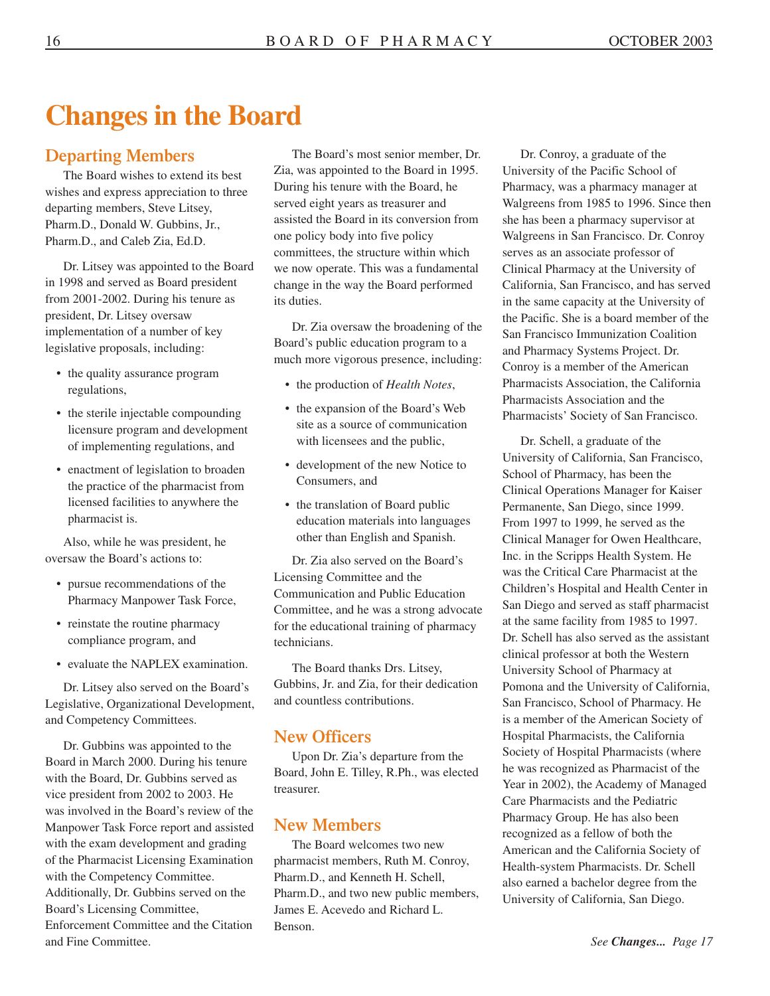# **Changes in the Board**

#### **Departing Members**

The Board wishes to extend its best wishes and express appreciation to three departing members, Steve Litsey, Pharm.D., Donald W. Gubbins, Jr., Pharm.D., and Caleb Zia, Ed.D.

Dr. Litsey was appointed to the Board in 1998 and served as Board president from 2001-2002. During his tenure as president, Dr. Litsey oversaw implementation of a number of key legislative proposals, including:

- the quality assurance program regulations,
- the sterile injectable compounding licensure program and development of implementing regulations, and
- enactment of legislation to broaden the practice of the pharmacist from licensed facilities to anywhere the pharmacist is.

Also, while he was president, he oversaw the Board's actions to:

- pursue recommendations of the Pharmacy Manpower Task Force,
- reinstate the routine pharmacy compliance program, and
- evaluate the NAPLEX examination.

Dr. Litsey also served on the Board's Legislative, Organizational Development, and Competency Committees.

Dr. Gubbins was appointed to the Board in March 2000. During his tenure with the Board, Dr. Gubbins served as vice president from 2002 to 2003. He was involved in the Board's review of the Manpower Task Force report and assisted with the exam development and grading of the Pharmacist Licensing Examination with the Competency Committee. Additionally, Dr. Gubbins served on the Board's Licensing Committee, Enforcement Committee and the Citation and Fine Committee.

The Board's most senior member, Dr. Zia, was appointed to the Board in 1995. During his tenure with the Board, he served eight years as treasurer and assisted the Board in its conversion from one policy body into five policy committees, the structure within which we now operate. This was a fundamental change in the way the Board performed its duties.

Dr. Zia oversaw the broadening of the Board's public education program to a much more vigorous presence, including:

- the production of *Health Notes*,
- the expansion of the Board's Web site as a source of communication with licensees and the public,
- development of the new Notice to Consumers, and
- the translation of Board public education materials into languages other than English and Spanish.

Dr. Zia also served on the Board's Licensing Committee and the Communication and Public Education Committee, and he was a strong advocate for the educational training of pharmacy technicians.

The Board thanks Drs. Litsey, Gubbins, Jr. and Zia, for their dedication and countless contributions.

#### **New Officers**

Upon Dr. Zia's departure from the Board, John E. Tilley, R.Ph., was elected treasurer.

### **New Members**

The Board welcomes two new pharmacist members, Ruth M. Conroy, Pharm.D., and Kenneth H. Schell, Pharm.D., and two new public members, James E. Acevedo and Richard L. Benson.

Dr. Conroy, a graduate of the University of the Pacific School of Pharmacy, was a pharmacy manager at Walgreens from 1985 to 1996. Since then she has been a pharmacy supervisor at Walgreens in San Francisco. Dr. Conroy serves as an associate professor of Clinical Pharmacy at the University of California, San Francisco, and has served in the same capacity at the University of the Pacific. She is a board member of the San Francisco Immunization Coalition and Pharmacy Systems Project. Dr. Conroy is a member of the American Pharmacists Association, the California Pharmacists Association and the Pharmacists' Society of San Francisco.

Dr. Schell, a graduate of the University of California, San Francisco, School of Pharmacy, has been the Clinical Operations Manager for Kaiser Permanente, San Diego, since 1999. From 1997 to 1999, he served as the Clinical Manager for Owen Healthcare, Inc. in the Scripps Health System. He was the Critical Care Pharmacist at the Children's Hospital and Health Center in San Diego and served as staff pharmacist at the same facility from 1985 to 1997. Dr. Schell has also served as the assistant clinical professor at both the Western University School of Pharmacy at Pomona and the University of California, San Francisco, School of Pharmacy. He is a member of the American Society of Hospital Pharmacists, the California Society of Hospital Pharmacists (where he was recognized as Pharmacist of the Year in 2002), the Academy of Managed Care Pharmacists and the Pediatric Pharmacy Group. He has also been recognized as a fellow of both the American and the California Society of Health-system Pharmacists. Dr. Schell also earned a bachelor degree from the University of California, San Diego.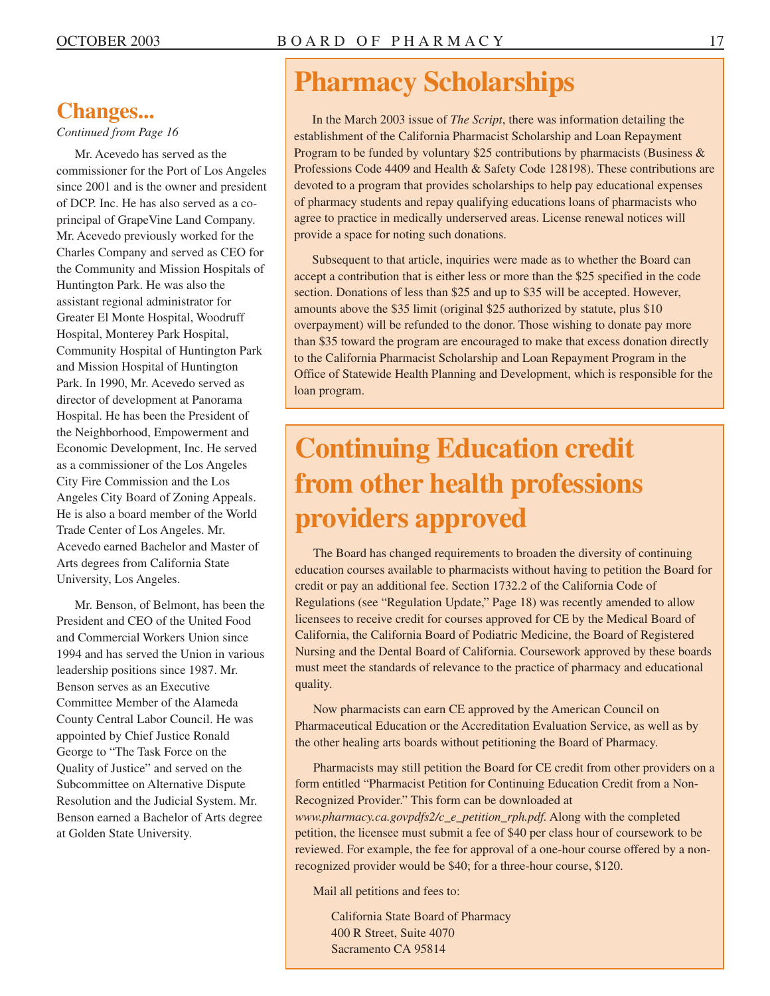### **Changes...**

#### *Continued from Page 16*

Mr. Acevedo has served as the commissioner for the Port of Los Angeles since 2001 and is the owner and president of DCP. Inc. He has also served as a coprincipal of GrapeVine Land Company. Mr. Acevedo previously worked for the Charles Company and served as CEO for the Community and Mission Hospitals of Huntington Park. He was also the assistant regional administrator for Greater El Monte Hospital, Woodruff Hospital, Monterey Park Hospital, Community Hospital of Huntington Park and Mission Hospital of Huntington Park. In 1990, Mr. Acevedo served as director of development at Panorama Hospital. He has been the President of the Neighborhood, Empowerment and Economic Development, Inc. He served as a commissioner of the Los Angeles City Fire Commission and the Los Angeles City Board of Zoning Appeals. He is also a board member of the World Trade Center of Los Angeles. Mr. Acevedo earned Bachelor and Master of Arts degrees from California State University, Los Angeles.

Mr. Benson, of Belmont, has been the President and CEO of the United Food and Commercial Workers Union since 1994 and has served the Union in various leadership positions since 1987. Mr. Benson serves as an Executive Committee Member of the Alameda County Central Labor Council. He was appointed by Chief Justice Ronald George to "The Task Force on the Quality of Justice" and served on the Subcommittee on Alternative Dispute Resolution and the Judicial System. Mr. Benson earned a Bachelor of Arts degree at Golden State University.

# **Pharmacy Scholarships**

In the March 2003 issue of *The Script*, there was information detailing the establishment of the California Pharmacist Scholarship and Loan Repayment Program to be funded by voluntary \$25 contributions by pharmacists (Business  $\&$ Professions Code 4409 and Health & Safety Code 128198). These contributions are devoted to a program that provides scholarships to help pay educational expenses of pharmacy students and repay qualifying educations loans of pharmacists who agree to practice in medically underserved areas. License renewal notices will provide a space for noting such donations.

Subsequent to that article, inquiries were made as to whether the Board can accept a contribution that is either less or more than the \$25 specified in the code section. Donations of less than \$25 and up to \$35 will be accepted. However, amounts above the \$35 limit (original \$25 authorized by statute, plus \$10 overpayment) will be refunded to the donor. Those wishing to donate pay more than \$35 toward the program are encouraged to make that excess donation directly to the California Pharmacist Scholarship and Loan Repayment Program in the Office of Statewide Health Planning and Development, which is responsible for the loan program.

# **Continuing Education credit from other health professions providers approved**

The Board has changed requirements to broaden the diversity of continuing education courses available to pharmacists without having to petition the Board for credit or pay an additional fee. Section 1732.2 of the California Code of Regulations (see "Regulation Update," Page 18) was recently amended to allow licensees to receive credit for courses approved for CE by the Medical Board of California, the California Board of Podiatric Medicine, the Board of Registered Nursing and the Dental Board of California. Coursework approved by these boards must meet the standards of relevance to the practice of pharmacy and educational quality.

Now pharmacists can earn CE approved by the American Council on Pharmaceutical Education or the Accreditation Evaluation Service, as well as by the other healing arts boards without petitioning the Board of Pharmacy.

Pharmacists may still petition the Board for CE credit from other providers on a form entitled "Pharmacist Petition for Continuing Education Credit from a Non-Recognized Provider." This form can be downloaded at *[www.pharmacy.ca.govpdfs2/c\\_e\\_petition\\_rph.pdf.](www.pharmacy.ca.govpdfs2/c_e_petition_rph.pdf)* Along with the completed petition, the licensee must submit a fee of \$40 per class hour of coursework to be reviewed. For example, the fee for approval of a one-hour course offered by a nonrecognized provider would be \$40; for a three-hour course, \$120.

Mail all petitions and fees to:

California State Board of Pharmacy 400 R Street, Suite 4070 Sacramento CA 95814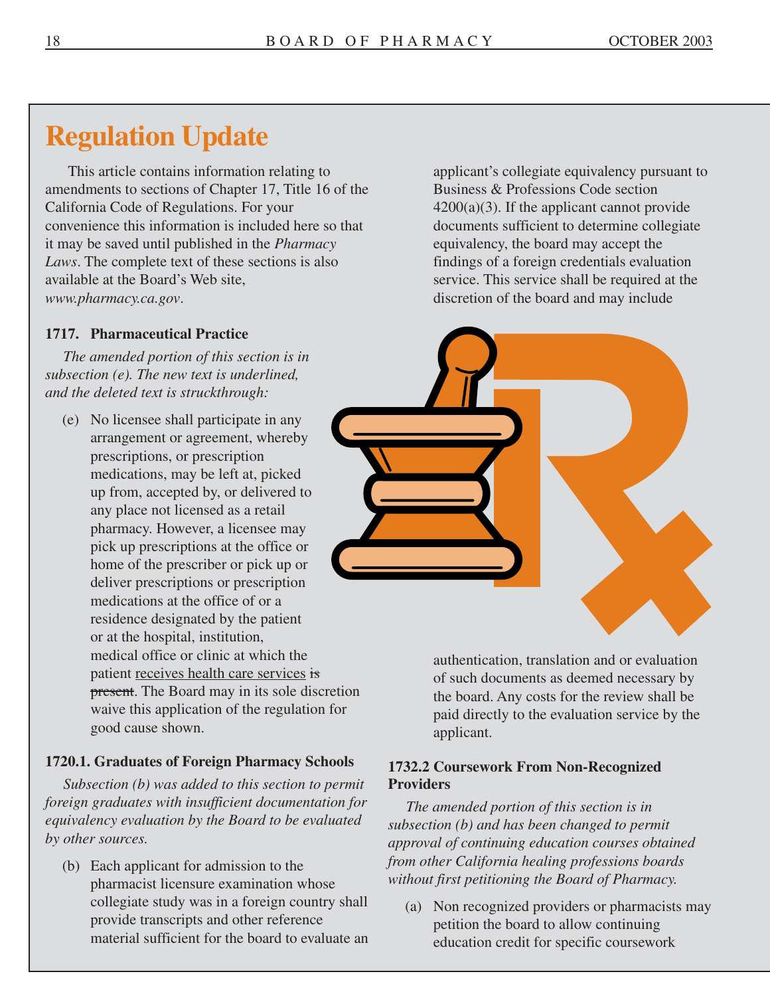# **Regulation Update**

This article contains information relating to amendments to sections of Chapter 17, Title 16 of the California Code of Regulations. For your convenience this information is included here so that it may be saved until published in the *Pharmacy Laws*. The complete text of these sections is also available at the Board's Web site, *<www.pharmacy.ca.gov>*.

#### **1717. Pharmaceutical Practice**

*The amended portion of this section is in subsection (e). The new text is underlined, and the deleted text is struckthrough:* 

(e) No licensee shall participate in any arrangement or agreement, whereby prescriptions, or prescription medications, may be left at, picked up from, accepted by, or delivered to any place not licensed as a retail pharmacy. However, a licensee may pick up prescriptions at the office or home of the prescriber or pick up or deliver prescriptions or prescription medications at the office of or a residence designated by the patient or at the hospital, institution, medical office or clinic at which the patient receives health care services is present. The Board may in its sole discretion waive this application of the regulation for good cause shown.

#### **1720.1. Graduates of Foreign Pharmacy Schools**

*Subsection (b) was added to this section to permit foreign graduates with insufficient documentation for equivalency evaluation by the Board to be evaluated by other sources.* 

(b) Each applicant for admission to the pharmacist licensure examination whose collegiate study was in a foreign country shall provide transcripts and other reference material sufficient for the board to evaluate an

applicant's collegiate equivalency pursuant to Business & Professions Code section  $4200(a)(3)$ . If the applicant cannot provide documents sufficient to determine collegiate equivalency, the board may accept the findings of a foreign credentials evaluation service. This service shall be required at the discretion of the board and may include



authentication, translation and or evaluation of such documents as deemed necessary by the board. Any costs for the review shall be paid directly to the evaluation service by the applicant.

#### **1732.2 Coursework From Non-Recognized Providers**

*The amended portion of this section is in subsection (b) and has been changed to permit approval of continuing education courses obtained from other California healing professions boards without first petitioning the Board of Pharmacy.* 

(a) Non recognized providers or pharmacists may petition the board to allow continuing education credit for specific coursework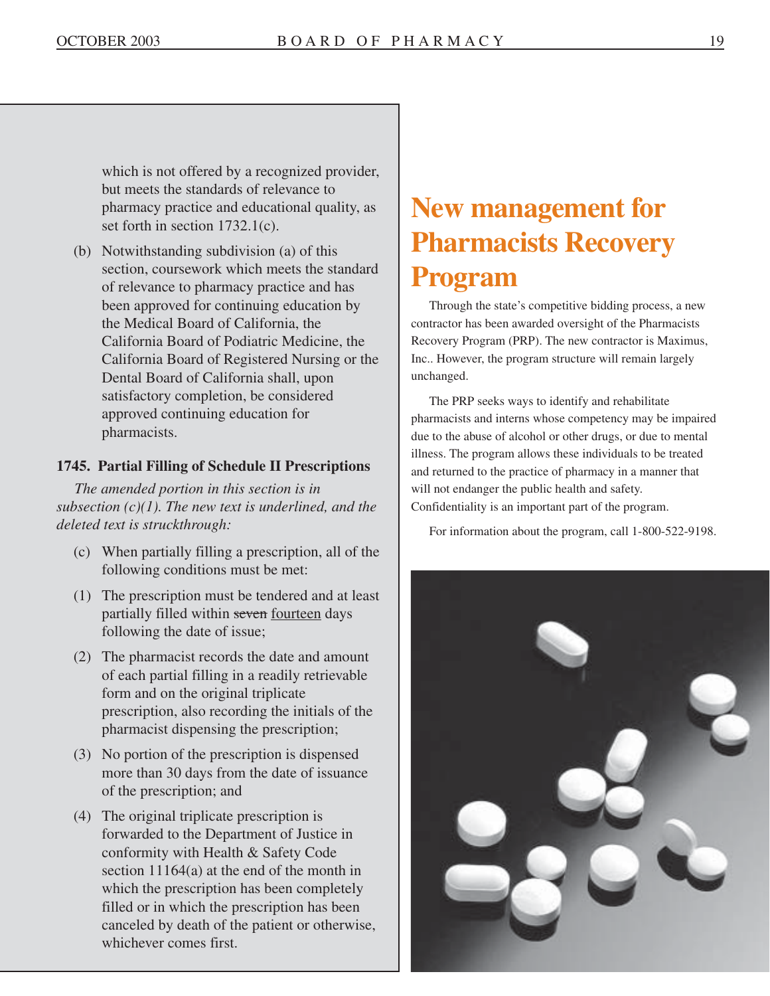which is not offered by a recognized provider, but meets the standards of relevance to pharmacy practice and educational quality, as set forth in section 1732.1(c).

(b) Notwithstanding subdivision (a) of this section, coursework which meets the standard of relevance to pharmacy practice and has been approved for continuing education by the Medical Board of California, the California Board of Podiatric Medicine, the California Board of Registered Nursing or the Dental Board of California shall, upon satisfactory completion, be considered approved continuing education for pharmacists.

#### **1745. Partial Filling of Schedule II Prescriptions**

*The amended portion in this section is in subsection (c)(1). The new text is underlined, and the deleted text is struckthrough:* 

- (c) When partially filling a prescription, all of the following conditions must be met:
- (1) The prescription must be tendered and at least partially filled within seven fourteen days following the date of issue;
- (2) The pharmacist records the date and amount of each partial filling in a readily retrievable form and on the original triplicate prescription, also recording the initials of the pharmacist dispensing the prescription;
- (3) No portion of the prescription is dispensed more than 30 days from the date of issuance of the prescription; and
- (4) The original triplicate prescription is forwarded to the Department of Justice in conformity with Health & Safety Code section 11164(a) at the end of the month in which the prescription has been completely filled or in which the prescription has been canceled by death of the patient or otherwise, whichever comes first.

# **New management for Pharmacists Recovery Program**

Through the state's competitive bidding process, a new contractor has been awarded oversight of the Pharmacists Recovery Program (PRP). The new contractor is Maximus, Inc.. However, the program structure will remain largely unchanged.

The PRP seeks ways to identify and rehabilitate pharmacists and interns whose competency may be impaired due to the abuse of alcohol or other drugs, or due to mental illness. The program allows these individuals to be treated and returned to the practice of pharmacy in a manner that will not endanger the public health and safety. Confidentiality is an important part of the program.

For information about the program, call 1-800-522-9198.